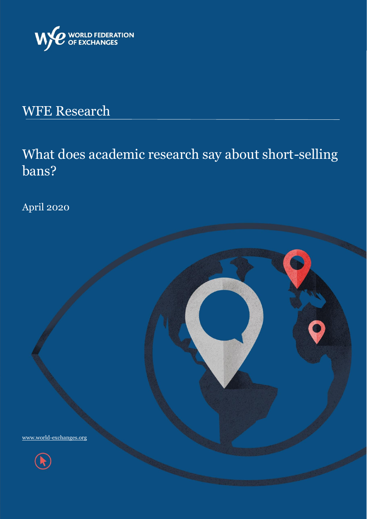

# WFE Research

# What does academic research say about short-selling bans?

April 2020



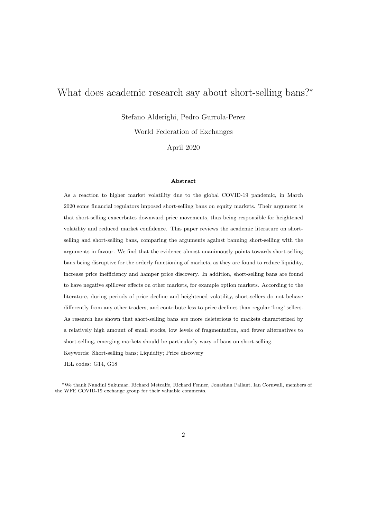## What does academic research say about short-selling bans?<sup>∗</sup>

Stefano Alderighi, Pedro Gurrola-Perez

World Federation of Exchanges

April 2020

#### Abstract

As a reaction to higher market volatility due to the global COVID-19 pandemic, in March 2020 some financial regulators imposed short-selling bans on equity markets. Their argument is that short-selling exacerbates downward price movements, thus being responsible for heightened volatility and reduced market confidence. This paper reviews the academic literature on shortselling and short-selling bans, comparing the arguments against banning short-selling with the arguments in favour. We find that the evidence almost unanimously points towards short-selling bans being disruptive for the orderly functioning of markets, as they are found to reduce liquidity, increase price inefficiency and hamper price discovery. In addition, short-selling bans are found to have negative spillover effects on other markets, for example option markets. According to the literature, during periods of price decline and heightened volatility, short-sellers do not behave differently from any other traders, and contribute less to price declines than regular 'long' sellers. As research has shown that short-selling bans are more deleterious to markets characterized by a relatively high amount of small stocks, low levels of fragmentation, and fewer alternatives to short-selling, emerging markets should be particularly wary of bans on short-selling. Keywords: Short-selling bans; Liquidity; Price discovery

JEL codes: G14, G18

<sup>∗</sup>We thank Nandini Sukumar, Richard Metcalfe, Richard Fenner, Jonathan Pallant, Ian Cornwall, members of the WFE COVID-19 exchange group for their valuable comments.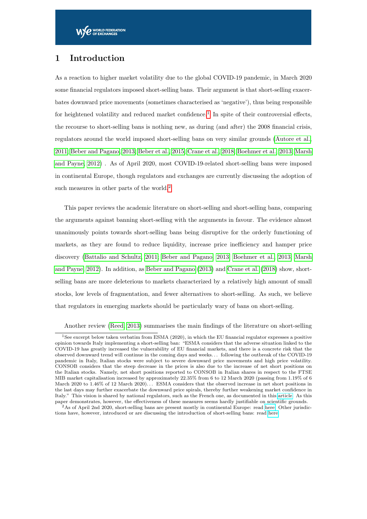### 1 Introduction

As a reaction to higher market volatility due to the global COVID-19 pandemic, in March 2020 some financial regulators imposed short-selling bans. Their argument is that short-selling exacerbates downward price movements (sometimes characterised as 'negative'), thus being responsible for heightened volatility and reduced market confidence.<sup>[1](#page-2-0)</sup> In spite of their controversial effects, the recourse to short-selling bans is nothing new, as during (and after) the 2008 financial crisis, regulators around the world imposed short-selling bans on very similar grounds [\(Autore et al.,](#page-12-0) [2011;](#page-12-0) [Beber and Pagano, 2013;](#page-12-1) [Beber et al., 2015;](#page-12-2) [Crane et al., 2018;](#page-13-0) [Boehmer et al., 2013;](#page-12-3) [Marsh](#page-14-0) [and Payne, 2012\)](#page-14-0) . As of April 2020, most COVID-19-related short-selling bans were imposed in continental Europe, though regulators and exchanges are currently discussing the adoption of such measures in other parts of the world.<sup>[2](#page-2-1)</sup>

This paper reviews the academic literature on short-selling and short-selling bans, comparing the arguments against banning short-selling with the arguments in favour. The evidence almost unanimously points towards short-selling bans being disruptive for the orderly functioning of markets, as they are found to reduce liquidity, increase price inefficiency and hamper price discovery [\(Battalio and Schultz, 2011;](#page-12-4) [Beber and Pagano, 2013;](#page-12-1) [Boehmer et al., 2013;](#page-12-3) [Marsh](#page-14-0) [and Payne, 2012\)](#page-14-0). In addition, as [Beber and Pagano](#page-12-1) [\(2013\)](#page-12-1) and [Crane et al.](#page-13-0) [\(2018\)](#page-13-0) show, shortselling bans are more deleterious to markets characterized by a relatively high amount of small stocks, low levels of fragmentation, and fewer alternatives to short-selling. As such, we believe that regulators in emerging markets should be particularly wary of bans on short-selling.

<span id="page-2-0"></span>Another review [\(Reed, 2013\)](#page-14-1) summarises the main findings of the literature on short-selling

<sup>1</sup>See excerpt below taken verbatim from ESMA (2020), in which the EU financial regulator expresses a positive opinion towards Italy implementing a short-selling ban: "ESMA considers that the adverse situation linked to the COVID-19 has greatly increased the vulnerability of EU financial markets, and there is a concrete risk that the observed downward trend will continue in the coming days and weeks. . . following the outbreak of the COVID-19 pandemic in Italy, Italian stocks were subject to severe downward price movements and high price volatility. CONSOB considers that the steep decrease in the prices is also due to the increase of net short positions on the Italian stocks. Namely, net short positions reported to CONSOB in Italian shares in respect to the FTSE MIB market capitalisation increased by approximately 22.35% from 6 to 12 March 2020 (passing from 1.19% of 6 March 2020 to 1.46% of 12 March 2020). . . ESMA considers that the observed increase in net short positions in the last days may further exacerbate the downward price spirals, thereby further weakening market confidence in Italy." This vision is shared by national regulators, such as the French one, as documented in this [article.](https://www.ft.com/content/08264895-80b0-4951-b79b-c25dff098bbe) As this paper demonstrates, however, the effectiveness of these measures seems hardly justifiable on scientific grounds.

<span id="page-2-1"></span><sup>2</sup>As of April 2nd 2020, short-selling bans are present mostly in continental Europe: read [here.](https://www.ft.com/content/b1b758d4-682e-11ea-800d-da70cff6e4d3) Other jurisdictions have, however, introduced or are discussing the introduction of short-selling bans: read [here](https://www.reuters.com/article/us-health-coronavirus-exchanges-limit-fa/factbox-stock-exchanges-revise-trading-rules-circuit-breakers-as-volatility-surges-idUSKBN21A02C)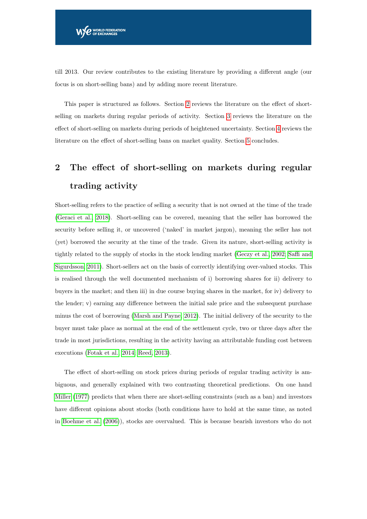till 2013. Our review contributes to the existing literature by providing a different angle (our focus is on short-selling bans) and by adding more recent literature.

This paper is structured as follows. Section [2](#page-3-0) reviews the literature on the effect of shortselling on markets during regular periods of activity. Section [3](#page-5-0) reviews the literature on the effect of short-selling on markets during periods of heightened uncertainty. Section [4](#page-5-1) reviews the literature on the effect of short-selling bans on market quality. Section [5](#page-11-0) concludes.

## <span id="page-3-0"></span>2 The effect of short-selling on markets during regular trading activity

Short-selling refers to the practice of selling a security that is not owned at the time of the trade [\(Geraci et al., 2018\)](#page-13-1). Short-selling can be covered, meaning that the seller has borrowed the security before selling it, or uncovered ('naked' in market jargon), meaning the seller has not (yet) borrowed the security at the time of the trade. Given its nature, short-selling activity is tightly related to the supply of stocks in the stock lending market [\(Geczy et al., 2002;](#page-13-2) [Saffi and](#page-14-2) [Sigurdsson, 2011\)](#page-14-2). Short-sellers act on the basis of correctly identifying over-valued stocks. This is realised through the well documented mechanism of i) borrowing shares for ii) delivery to buyers in the market; and then iii) in due course buying shares in the market, for iv) delivery to the lender; v) earning any difference between the initial sale price and the subsequent purchase minus the cost of borrowing [\(Marsh and Payne, 2012\)](#page-14-0). The initial delivery of the security to the buyer must take place as normal at the end of the settlement cycle, two or three days after the trade in most jurisdictions, resulting in the activity having an attributable funding cost between executions [\(Fotak et al., 2014;](#page-13-3) [Reed, 2013\)](#page-14-1).

The effect of short-selling on stock prices during periods of regular trading activity is ambiguous, and generally explained with two contrasting theoretical predictions. On one hand [Miller](#page-14-3) [\(1977\)](#page-14-3) predicts that when there are short-selling constraints (such as a ban) and investors have different opinions about stocks (both conditions have to hold at the same time, as noted in [Boehme et al.](#page-12-5) [\(2006\)](#page-12-5)), stocks are overvalued. This is because bearish investors who do not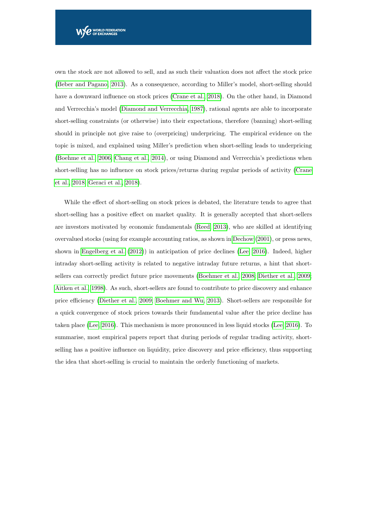own the stock are not allowed to sell, and as such their valuation does not affect the stock price [\(Beber and Pagano, 2013\)](#page-12-1). As a consequence, according to Miller's model, short-selling should have a downward influence on stock prices [\(Crane et al., 2018\)](#page-13-0). On the other hand, in Diamond and Verrecchia's model [\(Diamond and Verrecchia, 1987\)](#page-13-4), rational agents are able to incorporate short-selling constraints (or otherwise) into their expectations, therefore (banning) short-selling should in principle not give raise to (overpricing) underpricing. The empirical evidence on the topic is mixed, and explained using Miller's prediction when short-selling leads to underpricing [\(Boehme et al., 2006;](#page-12-5) [Chang et al., 2014\)](#page-13-5), or using Diamond and Verrecchia's predictions when short-selling has no influence on stock prices/returns during regular periods of activity [\(Crane](#page-13-0) [et al., 2018;](#page-13-0) [Geraci et al., 2018\)](#page-13-1).

While the effect of short-selling on stock prices is debated, the literature tends to agree that short-selling has a positive effect on market quality. It is generally accepted that short-sellers are investors motivated by economic fundamentals [\(Reed, 2013\)](#page-14-1), who are skilled at identifying overvalued stocks (using for example accounting ratios, as shown in [Dechow](#page-13-6) [\(2001\)](#page-13-6), or press news, shown in [Engelberg et al.](#page-13-7) [\(2012\)](#page-13-7)) in anticipation of price declines [\(Lee, 2016\)](#page-14-4). Indeed, higher intraday short-selling activity is related to negative intraday future returns, a hint that shortsellers can correctly predict future price movements [\(Boehmer et al., 2008;](#page-12-6) [Diether et al., 2009;](#page-13-8) [Aitken et al., 1998\)](#page-11-1). As such, short-sellers are found to contribute to price discovery and enhance price efficiency [\(Diether et al., 2009;](#page-13-8) [Boehmer and Wu, 2013\)](#page-12-7). Short-sellers are responsible for a quick convergence of stock prices towards their fundamental value after the price decline has taken place [\(Lee, 2016\)](#page-14-4). This mechanism is more pronounced in less liquid stocks [\(Lee, 2016\)](#page-14-4). To summarise, most empirical papers report that during periods of regular trading activity, shortselling has a positive influence on liquidity, price discovery and price efficiency, thus supporting the idea that short-selling is crucial to maintain the orderly functioning of markets.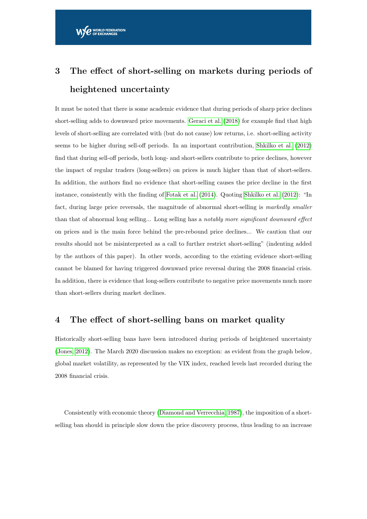# <span id="page-5-0"></span>3 The effect of short-selling on markets during periods of heightened uncertainty

It must be noted that there is some academic evidence that during periods of sharp price declines short-selling adds to downward price movements. [Geraci et al.](#page-13-1) [\(2018\)](#page-13-1) for example find that high levels of short-selling are correlated with (but do not cause) low returns, i.e. short-selling activity seems to be higher during sell-off periods. In an important contribution, [Shkilko et al.](#page-14-5) [\(2012\)](#page-14-5) find that during sell-off periods, both long- and short-sellers contribute to price declines, however the impact of regular traders (long-sellers) on prices is much higher than that of short-sellers. In addition, the authors find no evidence that short-selling causes the price decline in the first instance, consistently with the finding of [Fotak et al.](#page-13-3) [\(2014\)](#page-13-3). Quoting [Shkilko et al.](#page-14-5) [\(2012\)](#page-14-5): "In fact, during large price reversals, the magnitude of abnormal short-selling is markedly smaller than that of abnormal long selling... Long selling has a notably more significant downward effect on prices and is the main force behind the pre-rebound price declines... We caution that our results should not be misinterpreted as a call to further restrict short-selling" (indenting added by the authors of this paper). In other words, according to the existing evidence short-selling cannot be blamed for having triggered downward price reversal during the 2008 financial crisis. In addition, there is evidence that long-sellers contribute to negative price movements much more than short-sellers during market declines.

#### <span id="page-5-1"></span>4 The effect of short-selling bans on market quality

Historically short-selling bans have been introduced during periods of heightened uncertainty [\(Jones, 2012\)](#page-14-6). The March 2020 discussion makes no exception: as evident from the graph below, global market volatility, as represented by the VIX index, reached levels last recorded during the 2008 financial crisis.

Consistently with economic theory [\(Diamond and Verrecchia, 1987\)](#page-13-4), the imposition of a shortselling ban should in principle slow down the price discovery process, thus leading to an increase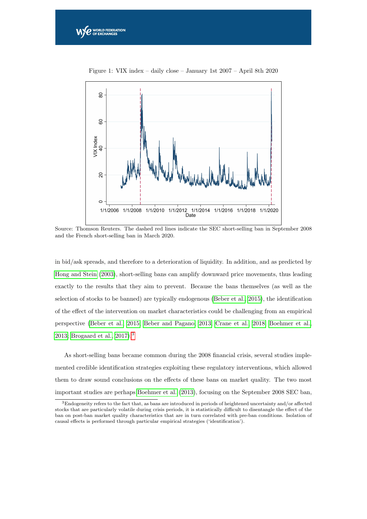

Figure 1: VIX index – daily close – January 1st 2007 – April 8th 2020

 $\boldsymbol{e}$  world federation

Source: Thomson Reuters. The dashed red lines indicate the SEC short-selling ban in September 2008 and the French short-selling ban in March 2020.

in bid/ask spreads, and therefore to a deterioration of liquidity. In addition, and as predicted by [Hong and Stein](#page-14-7) [\(2003\)](#page-14-7), short-selling bans can amplify downward price movements, thus leading exactly to the results that they aim to prevent. Because the bans themselves (as well as the selection of stocks to be banned) are typically endogenous [\(Beber et al., 2015\)](#page-12-2), the identification of the effect of the intervention on market characteristics could be challenging from an empirical perspective [\(Beber et al., 2015;](#page-12-2) [Beber and Pagano, 2013;](#page-12-1) [Crane et al., 2018;](#page-13-0) [Boehmer et al.,](#page-12-3) [2013;](#page-12-3) [Brogaard et al., 2017\)](#page-12-8).[3](#page-6-0)

As short-selling bans became common during the 2008 financial crisis, several studies implemented credible identification strategies exploiting these regulatory interventions, which allowed them to draw sound conclusions on the effects of these bans on market quality. The two most important studies are perhaps [Boehmer et al.](#page-12-3) [\(2013\)](#page-12-3), focusing on the September 2008 SEC ban,

<span id="page-6-0"></span><sup>3</sup>Endogeneity refers to the fact that, as bans are introduced in periods of heightened uncertainty and/or affected stocks that are particularly volatile during crisis periods, it is statistically difficult to disentangle the effect of the ban on post-ban market quality characteristics that are in turn correlated with pre-ban conditions. Isolation of causal effects is performed through particular empirical strategies ('identification').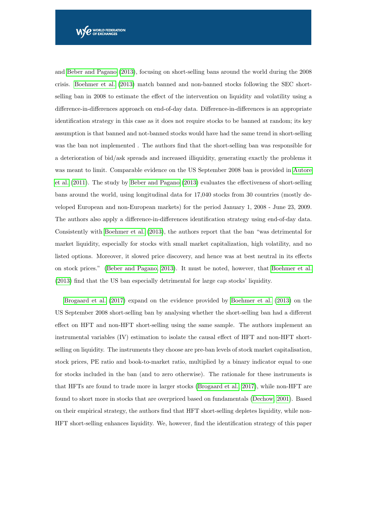and [Beber and Pagano](#page-12-1) [\(2013\)](#page-12-1), focusing on short-selling bans around the world during the 2008 crisis. [Boehmer et al.](#page-12-3) [\(2013\)](#page-12-3) match banned and non-banned stocks following the SEC shortselling ban in 2008 to estimate the effect of the intervention on liquidity and volatility using a difference-in-differences approach on end-of-day data. Difference-in-differences is an appropriate identification strategy in this case as it does not require stocks to be banned at random; its key assumption is that banned and not-banned stocks would have had the same trend in short-selling was the ban not implemented . The authors find that the short-selling ban was responsible for a deterioration of bid/ask spreads and increased illiquidity, generating exactly the problems it was meant to limit. Comparable evidence on the US September 2008 ban is provided in [Autore](#page-12-0) [et al.](#page-12-0) [\(2011\)](#page-12-0). The study by [Beber and Pagano](#page-12-1) [\(2013\)](#page-12-1) evaluates the effectiveness of short-selling bans around the world, using longitudinal data for 17,040 stocks from 30 countries (mostly developed European and non-European markets) for the period January 1, 2008 - June 23, 2009. The authors also apply a difference-in-differences identification strategy using end-of-day data. Consistently with [Boehmer et al.](#page-12-3) [\(2013\)](#page-12-3), the authors report that the ban "was detrimental for market liquidity, especially for stocks with small market capitalization, high volatility, and no listed options. Moreover, it slowed price discovery, and hence was at best neutral in its effects on stock prices." [\(Beber and Pagano, 2013\)](#page-12-1). It must be noted, however, that [Boehmer et al.](#page-12-3) [\(2013\)](#page-12-3) find that the US ban especially detrimental for large cap stocks' liquidity.

[Brogaard et al.](#page-12-8) [\(2017\)](#page-12-8) expand on the evidence provided by [Boehmer et al.](#page-12-3) [\(2013\)](#page-12-3) on the US September 2008 short-selling ban by analysing whether the short-selling ban had a different effect on HFT and non-HFT short-selling using the same sample. The authors implement an instrumental variables (IV) estimation to isolate the causal effect of HFT and non-HFT shortselling on liquidity. The instruments they choose are pre-ban levels of stock market capitalisation, stock prices, PE ratio and book-to-market ratio, multiplied by a binary indicator equal to one for stocks included in the ban (and to zero otherwise). The rationale for these instruments is that HFTs are found to trade more in larger stocks [\(Brogaard et al., 2017\)](#page-12-8), while non-HFT are found to short more in stocks that are overpriced based on fundamentals [\(Dechow, 2001\)](#page-13-6). Based on their empirical strategy, the authors find that HFT short-selling depletes liquidity, while non-HFT short-selling enhances liquidity. We, however, find the identification strategy of this paper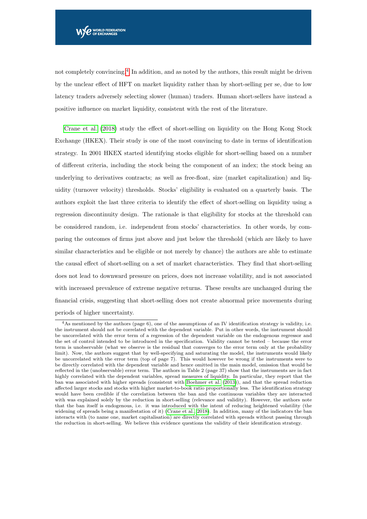not completely convincing.<sup>[4](#page-8-0)</sup> In addition, and as noted by the authors, this result might be driven by the unclear effect of HFT on market liquidity rather than by short-selling per se, due to low latency traders adversely selecting slower (human) traders. Human short-sellers have instead a positive influence on market liquidity, consistent with the rest of the literature.

[Crane et al.](#page-13-0) [\(2018\)](#page-13-0) study the effect of short-selling on liquidity on the Hong Kong Stock Exchange (HKEX). Their study is one of the most convincing to date in terms of identification strategy. In 2001 HKEX started identifying stocks eligible for short-selling based on a number of different criteria, including the stock being the component of an index; the stock being an underlying to derivatives contracts; as well as free-float, size (market capitalization) and liquidity (turnover velocity) thresholds. Stocks' eligibility is evaluated on a quarterly basis. The authors exploit the last three criteria to identify the effect of short-selling on liquidity using a regression discontinuity design. The rationale is that eligibility for stocks at the threshold can be considered random, i.e. independent from stocks' characteristics. In other words, by comparing the outcomes of firms just above and just below the threshold (which are likely to have similar characteristics and be eligible or not merely by chance) the authors are able to estimate the causal effect of short-selling on a set of market characteristics. They find that short-selling does not lead to downward pressure on prices, does not increase volatility, and is not associated with increased prevalence of extreme negative returns. These results are unchanged during the financial crisis, suggesting that short-selling does not create abnormal price movements during periods of higher uncertainty.

<span id="page-8-0"></span><sup>&</sup>lt;sup>4</sup>As mentioned by the authors (page 6), one of the assumptions of an IV identification strategy is validity, i.e. the instrument should not be correlated with the dependent variable. Put in other words, the instrument should be uncorrelated with the error term of a regression of the dependent variable on the endogenous regressor and the set of control intended to be introduced in the specification. Validity cannot be tested – because the error term is unobservable (what we observe is the residual that converges to the error term only at the probability limit). Now, the authors suggest that by well-specifying and saturating the model, the instruments would likely be uncorrelated with the error term (top of page 7). This would however be wrong if the instruments were to be directly correlated with the dependent variable and hence omitted in the main model, omission that would be reflected in the (unobservable) error term. The authors in Table 2 (page 37) show that the instruments are in fact highly correlated with the dependent variables, spread measures of liquidity. In particular, they report that the ban was associated with higher spreads (consistent with [Boehmer et al.](#page-12-3) [\(2013\)](#page-12-3)), and that the spread reduction affected larger stocks and stocks with higher market-to-book ratio proportionally less. The identification strategy would have been credible if the correlation between the ban and the continuous variables they are interacted with was explained solely by the reduction in short-selling (relevance and validity). However, the authors note that the ban itself is endogenous, i.e. it was introduced with the intent of reducing heightened volatility (the widening of spreads being a manifestation of it) [\(Crane et al., 2018\)](#page-13-0). In addition, many of the indicators the ban interacts with (to name one, market capitalisation) are directly correlated with spreads without passing through the reduction in short-selling. We believe this evidence questions the validity of their identification strategy.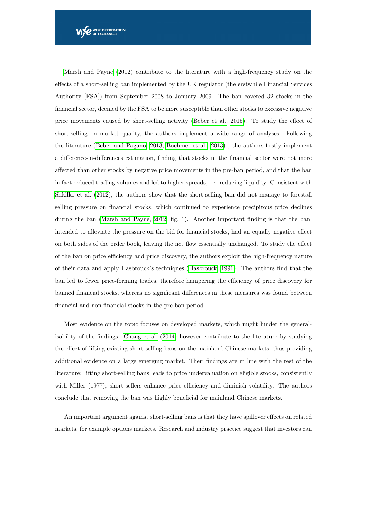[Marsh and Payne](#page-14-0) [\(2012\)](#page-14-0) contribute to the literature with a high-frequency study on the effects of a short-selling ban implemented by the UK regulator (the erstwhile Financial Services Authority [FSA]) from September 2008 to January 2009. The ban covered 32 stocks in the financial sector, deemed by the FSA to be more susceptible than other stocks to excessive negative price movements caused by short-selling activity [\(Beber et al., 2015\)](#page-12-2). To study the effect of short-selling on market quality, the authors implement a wide range of analyses. Following the literature [\(Beber and Pagano, 2013;](#page-12-1) [Boehmer et al., 2013\)](#page-12-3) , the authors firstly implement a difference-in-differences estimation, finding that stocks in the financial sector were not more affected than other stocks by negative price movements in the pre-ban period, and that the ban in fact reduced trading volumes and led to higher spreads, i.e. reducing liquidity. Consistent with [Shkilko et al.](#page-14-5) [\(2012\)](#page-14-5), the authors show that the short-selling ban did not manage to forestall selling pressure on financial stocks, which continued to experience precipitous price declines during the ban [\(Marsh and Payne, 2012,](#page-14-0) fig. 1). Another important finding is that the ban, intended to alleviate the pressure on the bid for financial stocks, had an equally negative effect on both sides of the order book, leaving the net flow essentially unchanged. To study the effect of the ban on price efficiency and price discovery, the authors exploit the high-frequency nature of their data and apply Hasbrouck's techniques [\(Hasbrouck, 1991\)](#page-13-9). The authors find that the ban led to fewer price-forming trades, therefore hampering the efficiency of price discovery for banned financial stocks, whereas no significant differences in these measures was found between financial and non-financial stocks in the pre-ban period.

Most evidence on the topic focuses on developed markets, which might hinder the generalisability of the findings. [Chang et al.](#page-13-5) [\(2014\)](#page-13-5) however contribute to the literature by studying the effect of lifting existing short-selling bans on the mainland Chinese markets, thus providing additional evidence on a large emerging market. Their findings are in line with the rest of the literature: lifting short-selling bans leads to price undervaluation on eligible stocks, consistently with Miller (1977); short-sellers enhance price efficiency and diminish volatility. The authors conclude that removing the ban was highly beneficial for mainland Chinese markets.

An important argument against short-selling bans is that they have spillover effects on related markets, for example options markets. Research and industry practice suggest that investors can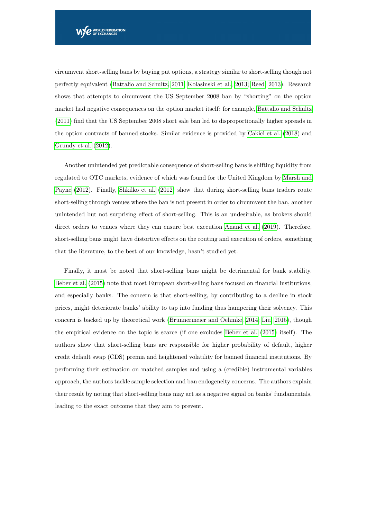circumvent short-selling bans by buying put options, a strategy similar to short-selling though not perfectly equivalent [\(Battalio and Schultz, 2011;](#page-12-4) [Kolasinski et al., 2013;](#page-14-8) [Reed, 2013\)](#page-14-1). Research shows that attempts to circumvent the US September 2008 ban by "shorting" on the option market had negative consequences on the option market itself: for example, [Battalio and Schultz](#page-12-4) [\(2011\)](#page-12-4) find that the US September 2008 short sale ban led to disproportionally higher spreads in the option contracts of banned stocks. Similar evidence is provided by [Cakici et al.](#page-13-10) [\(2018\)](#page-13-10) and [Grundy et al.](#page-13-11) [\(2012\)](#page-13-11).

Another unintended yet predictable consequence of short-selling bans is shifting liquidity from regulated to OTC markets, evidence of which was found for the United Kingdom by [Marsh and](#page-14-0) [Payne](#page-14-0) [\(2012\)](#page-14-0). Finally, [Shkilko et al.](#page-14-5) [\(2012\)](#page-14-5) show that during short-selling bans traders route short-selling through venues where the ban is not present in order to circumvent the ban, another unintended but not surprising effect of short-selling. This is an undesirable, as brokers should direct orders to venues where they can ensure best execution [Anand et al.](#page-12-9) [\(2019\)](#page-12-9). Therefore, short-selling bans might have distortive effects on the routing and execution of orders, something that the literature, to the best of our knowledge, hasn't studied yet.

Finally, it must be noted that short-selling bans might be detrimental for bank stability. [Beber et al.](#page-12-2) [\(2015\)](#page-12-2) note that most European short-selling bans focused on financial institutions, and especially banks. The concern is that short-selling, by contributing to a decline in stock prices, might deteriorate banks' ability to tap into funding thus hampering their solvency. This concern is backed up by theoretical work [\(Brunnermeier and Oehmke, 2014;](#page-12-10) [Liu, 2015\)](#page-14-9), though the empirical evidence on the topic is scarce (if one excludes [Beber et al.](#page-12-2) [\(2015\)](#page-12-2) itself). The authors show that short-selling bans are responsible for higher probability of default, higher credit default swap (CDS) premia and heightened volatility for banned financial institutions. By performing their estimation on matched samples and using a (credible) instrumental variables approach, the authors tackle sample selection and ban endogeneity concerns. The authors explain their result by noting that short-selling bans may act as a negative signal on banks' fundamentals, leading to the exact outcome that they aim to prevent.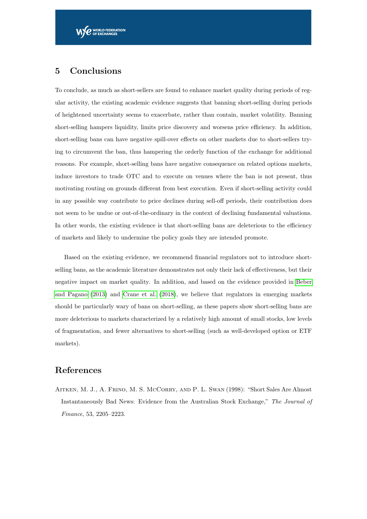### <span id="page-11-0"></span>5 Conclusions

To conclude, as much as short-sellers are found to enhance market quality during periods of regular activity, the existing academic evidence suggests that banning short-selling during periods of heightened uncertainty seems to exacerbate, rather than contain, market volatility. Banning short-selling hampers liquidity, limits price discovery and worsens price efficiency. In addition, short-selling bans can have negative spill-over effects on other markets due to short-sellers trying to circumvent the ban, thus hampering the orderly function of the exchange for additional reasons. For example, short-selling bans have negative consequence on related options markets, induce investors to trade OTC and to execute on venues where the ban is not present, thus motivating routing on grounds different from best execution. Even if short-selling activity could in any possible way contribute to price declines during sell-off periods, their contribution does not seem to be undue or out-of-the-ordinary in the context of declining fundamental valuations. In other words, the existing evidence is that short-selling bans are deleterious to the efficiency of markets and likely to undermine the policy goals they are intended promote.

Based on the existing evidence, we recommend financial regulators not to introduce shortselling bans, as the academic literature demonstrates not only their lack of effectiveness, but their negative impact on market quality. In addition, and based on the evidence provided in [Beber](#page-12-1) [and Pagano](#page-12-1) [\(2013\)](#page-12-1) and [Crane et al.](#page-13-0) [\(2018\)](#page-13-0), we believe that regulators in emerging markets should be particularly wary of bans on short-selling, as these papers show short-selling bans are more deleterious to markets characterized by a relatively high amount of small stocks, low levels of fragmentation, and fewer alternatives to short-selling (such as well-developed option or ETF markets).

### References

<span id="page-11-1"></span>Aitken, M. J., A. Frino, M. S. McCorry, and P. L. Swan (1998): "Short Sales Are Almost Instantaneously Bad News: Evidence from the Australian Stock Exchange," The Journal of Finance, 53, 2205–2223.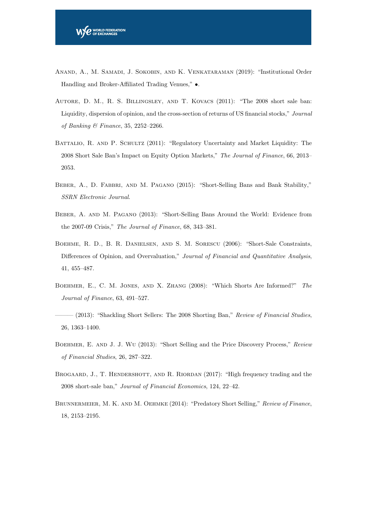- <span id="page-12-9"></span>Anand, A., M. Samadi, J. Sokobin, and K. Venkataraman (2019): "Institutional Order Handling and Broker-Affiliated Trading Venues," •.
- <span id="page-12-0"></span>Autore, D. M., R. S. Billingsley, and T. Kovacs (2011): "The 2008 short sale ban: Liquidity, dispersion of opinion, and the cross-section of returns of US financial stocks," Journal of Banking & Finance, 35, 2252–2266.
- <span id="page-12-4"></span>BATTALIO, R. AND P. SCHULTZ (2011): "Regulatory Uncertainty and Market Liquidity: The 2008 Short Sale Ban's Impact on Equity Option Markets," The Journal of Finance, 66, 2013– 2053.
- <span id="page-12-2"></span>Beber, A., D. Fabbri, and M. Pagano (2015): "Short-Selling Bans and Bank Stability," SSRN Electronic Journal.
- <span id="page-12-1"></span>Beber, A. and M. Pagano (2013): "Short-Selling Bans Around the World: Evidence from the 2007-09 Crisis," The Journal of Finance, 68, 343–381.
- <span id="page-12-5"></span>Boehme, R. D., B. R. Danielsen, and S. M. Sorescu (2006): "Short-Sale Constraints, Differences of Opinion, and Overvaluation," Journal of Financial and Quantitative Analysis, 41, 455–487.
- <span id="page-12-6"></span>Boehmer, E., C. M. Jones, and X. Zhang (2008): "Which Shorts Are Informed?" The Journal of Finance, 63, 491–527.
- <span id="page-12-3"></span>– (2013): "Shackling Short Sellers: The 2008 Shorting Ban," Review of Financial Studies, 26, 1363–1400.
- <span id="page-12-7"></span>Boehmer, E. and J. J. Wu (2013): "Short Selling and the Price Discovery Process," Review of Financial Studies, 26, 287–322.
- <span id="page-12-8"></span>BROGAARD, J., T. HENDERSHOTT, AND R. RIORDAN (2017): "High frequency trading and the 2008 short-sale ban," Journal of Financial Economics, 124, 22–42.
- <span id="page-12-10"></span>BRUNNERMEIER, M. K. AND M. OEHMKE (2014): "Predatory Short Selling," Review of Finance, 18, 2153–2195.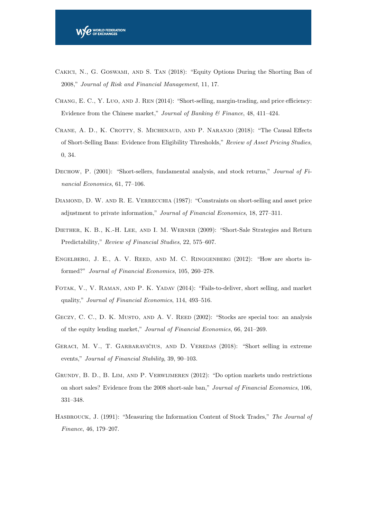- <span id="page-13-10"></span>Cakici, N., G. Goswami, and S. Tan (2018): "Equity Options During the Shorting Ban of 2008," Journal of Risk and Financial Management, 11, 17.
- <span id="page-13-5"></span>CHANG, E. C., Y. LUO, AND J. REN (2014): "Short-selling, margin-trading, and price efficiency: Evidence from the Chinese market," Journal of Banking & Finance, 48, 411–424.
- <span id="page-13-0"></span>Crane, A. D., K. Crotty, S. Michenaud, and P. Naranjo (2018): "The Causal Effects of Short-Selling Bans: Evidence from Eligibility Thresholds," Review of Asset Pricing Studies, 0, 34.
- <span id="page-13-6"></span>DECHOW, P. (2001): "Short-sellers, fundamental analysis, and stock returns," Journal of Financial Economics, 61, 77–106.
- <span id="page-13-4"></span>DIAMOND, D. W. AND R. E. VERRECCHIA (1987): "Constraints on short-selling and asset price adjustment to private information," Journal of Financial Economics, 18, 277–311.
- <span id="page-13-8"></span>Diether, K. B., K.-H. Lee, and I. M. Werner (2009): "Short-Sale Strategies and Return Predictability," Review of Financial Studies, 22, 575–607.
- <span id="page-13-7"></span>Engelberg, J. E., A. V. Reed, and M. C. Ringgenberg (2012): "How are shorts informed?" Journal of Financial Economics, 105, 260–278.
- <span id="page-13-3"></span>Fotak, V., V. Raman, and P. K. Yadav (2014): "Fails-to-deliver, short selling, and market quality," Journal of Financial Economics, 114, 493–516.
- <span id="page-13-2"></span>GECZY, C. C., D. K. MUSTO, AND A. V. REED (2002): "Stocks are special too: an analysis of the equity lending market," Journal of Financial Economics, 66, 241–269.
- <span id="page-13-1"></span>GERACI, M. V., T. GARBARAVIČIUS, AND D. VEREDAS (2018): "Short selling in extreme events," Journal of Financial Stability, 39, 90–103.
- <span id="page-13-11"></span>Grundy, B. D., B. Lim, and P. Verwijmeren (2012): "Do option markets undo restrictions on short sales? Evidence from the 2008 short-sale ban," Journal of Financial Economics, 106, 331–348.
- <span id="page-13-9"></span>HASBROUCK, J. (1991): "Measuring the Information Content of Stock Trades," The Journal of Finance, 46, 179–207.